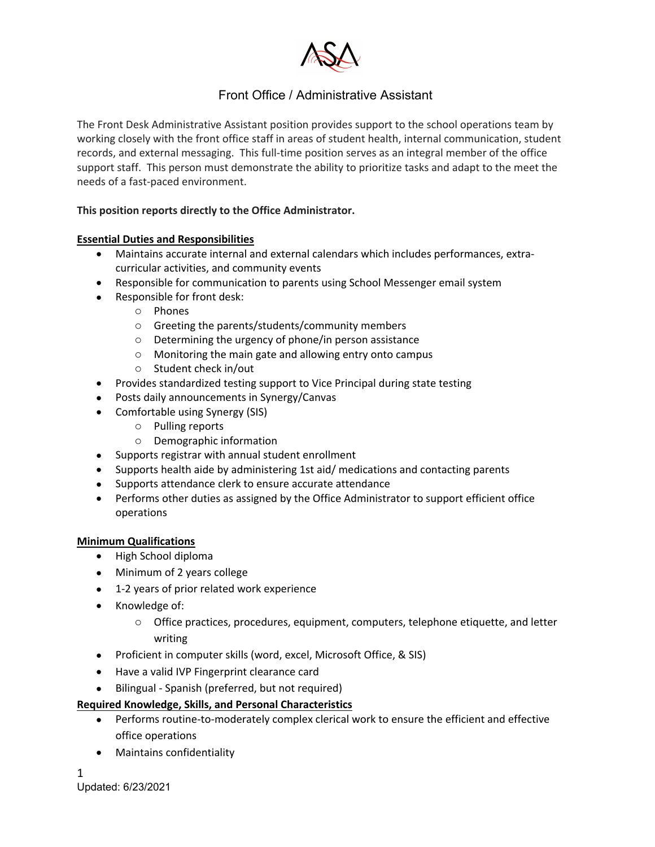

# Front Office / Administrative Assistant

The Front Desk Administrative Assistant position provides support to the school operations team by working closely with the front office staff in areas of student health, internal communication, student records, and external messaging. This full-time position serves as an integral member of the office support staff. This person must demonstrate the ability to prioritize tasks and adapt to the meet the needs of a fast-paced environment.

### **This position reports directly to the Office Administrator.**

#### **Essential Duties and Responsibilities**

- Maintains accurate internal and external calendars which includes performances, extracurricular activities, and community events
- Responsible for communication to parents using School Messenger email system
- Responsible for front desk:
	- o Phones
	- o Greeting the parents/students/community members
	- o Determining the urgency of phone/in person assistance
	- o Monitoring the main gate and allowing entry onto campus
	- o Student check in/out
- Provides standardized testing support to Vice Principal during state testing
- Posts daily announcements in Synergy/Canvas
- Comfortable using Synergy (SIS)
	- o Pulling reports
	- o Demographic information
- Supports registrar with annual student enrollment
- Supports health aide by administering 1st aid/ medications and contacting parents
- Supports attendance clerk to ensure accurate attendance
- Performs other duties as assigned by the Office Administrator to support efficient office operations

#### **Minimum Qualifications**

- High School diploma
- Minimum of 2 years college
- 1-2 years of prior related work experience
- Knowledge of:
	- $\circ$  Office practices, procedures, equipment, computers, telephone etiquette, and letter writing
- Proficient in computer skills (word, excel, Microsoft Office, & SIS)
- Have a valid IVP Fingerprint clearance card
- Bilingual Spanish (preferred, but not required)

#### **Required Knowledge, Skills, and Personal Characteristics**

- Performs routine-to-moderately complex clerical work to ensure the efficient and effective office operations
- Maintains confidentiality